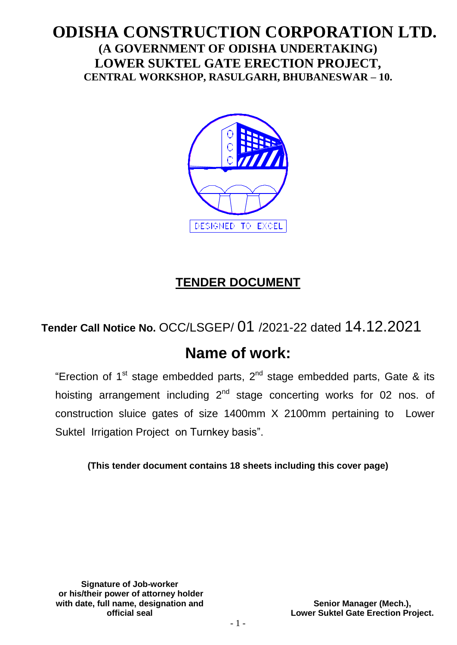## **ODISHA CONSTRUCTION CORPORATION LTD. (A GOVERNMENT OF ODISHA UNDERTAKING) LOWER SUKTEL GATE ERECTION PROJECT, CENTRAL WORKSHOP, RASULGARH, BHUBANESWAR – 10.**



# **TENDER DOCUMENT**

## **Tender Call Notice No.** OCC/LSGEP/ 01 /2021-22 dated 14.12.2021

# **Name of work:**

"Erection of 1<sup>st</sup> stage embedded parts, 2<sup>nd</sup> stage embedded parts, Gate & its hoisting arrangement including 2<sup>nd</sup> stage concerting works for 02 nos. of construction sluice gates of size 1400mm X 2100mm pertaining to Lower Suktel Irrigation Project on Turnkey basis".

**(This tender document contains 18 sheets including this cover page)**

**Signature of Job-worker or his/their power of attorney holder with date, full name, designation and official seal**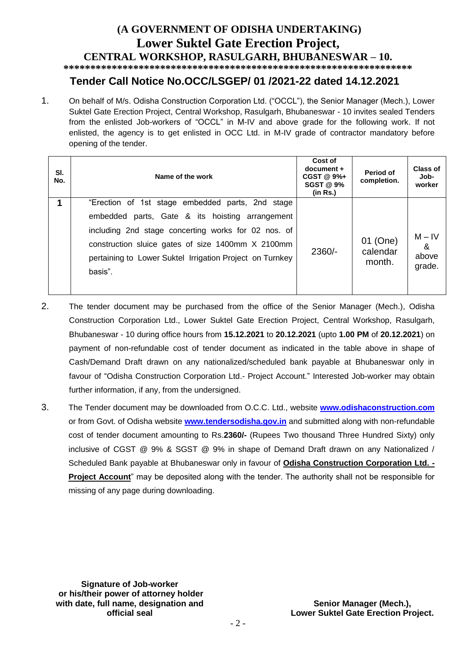## **(A GOVERNMENT OF ODISHA UNDERTAKING) Lower Suktel Gate Erection Project, CENTRAL WORKSHOP, RASULGARH, BHUBANESWAR – 10.**

**\*\*\*\*\*\*\*\*\*\*\*\*\*\*\*\*\*\*\*\*\*\*\*\*\*\*\*\*\*\*\*\*\*\*\*\*\*\*\*\*\*\*\*\*\*\*\*\*\*\*\*\*\*\*\*\*\*\*\*\*\*\*\*\*\***

## **Tender Call Notice No.OCC/LSGEP/ 01 /2021-22 dated 14.12.2021**

1. On behalf of M/s. Odisha Construction Corporation Ltd. ("OCCL"), the Senior Manager (Mech.), Lower Suktel Gate Erection Project, Central Workshop, Rasulgarh, Bhubaneswar - 10 invites sealed Tenders from the enlisted Job-workers of "OCCL" in M-IV and above grade for the following work. If not enlisted, the agency is to get enlisted in OCC Ltd. in M-IV grade of contractor mandatory before opening of the tender.

| SI.<br>No. | Name of the work                                         | Cost of<br>document +<br>CGST @ 9%+<br><b>SGST @ 9%</b><br>(in Rs.) | Period of<br>completion. | Class of<br>Job-<br>worker |
|------------|----------------------------------------------------------|---------------------------------------------------------------------|--------------------------|----------------------------|
|            | "Erection of 1st stage embedded parts, 2nd stage         |                                                                     |                          |                            |
|            | embedded parts, Gate & its hoisting arrangement          |                                                                     | 01 (One)                 | $M - IV$                   |
|            | including 2nd stage concerting works for 02 nos. of      |                                                                     |                          |                            |
|            | construction sluice gates of size 1400mm X 2100mm        | $2360/-$                                                            |                          | calendar                   |
|            | pertaining to Lower Suktel Irrigation Project on Turnkey |                                                                     | month.                   | above                      |
|            | basis".                                                  |                                                                     |                          | grade.                     |
|            |                                                          |                                                                     |                          |                            |

- 2. The tender document may be purchased from the office of the Senior Manager (Mech.), Odisha Construction Corporation Ltd., Lower Suktel Gate Erection Project, Central Workshop, Rasulgarh, Bhubaneswar - 10 during office hours from **15.12.2021** to **20.12.2021** (upto **1.00 PM** of **20.12.2021**) on payment of non-refundable cost of tender document as indicated in the table above in shape of Cash/Demand Draft drawn on any nationalized/scheduled bank payable at Bhubaneswar only in favour of "Odisha Construction Corporation Ltd.- Project Account." Interested Job-worker may obtain further information, if any, from the undersigned.
- 3. The Tender document may be downloaded from O.C.C. Ltd., website **[www.odishaconstruction.com](http://www.odishaconstruction.com/)** or from Govt. of Odisha website **www.tendersodisha.gov.in** and submitted along with non-refundable cost of tender document amounting to Rs.**2360/-** (Rupees Two thousand Three Hundred Sixty) only inclusive of CGST @ 9% & SGST @ 9% in shape of Demand Draft drawn on any Nationalized / Scheduled Bank payable at Bhubaneswar only in favour of **Odisha Construction Corporation Ltd. - Project Account**" may be deposited along with the tender. The authority shall not be responsible for missing of any page during downloading.

**Signature of Job-worker or his/their power of attorney holder with date, full name, designation and official seal**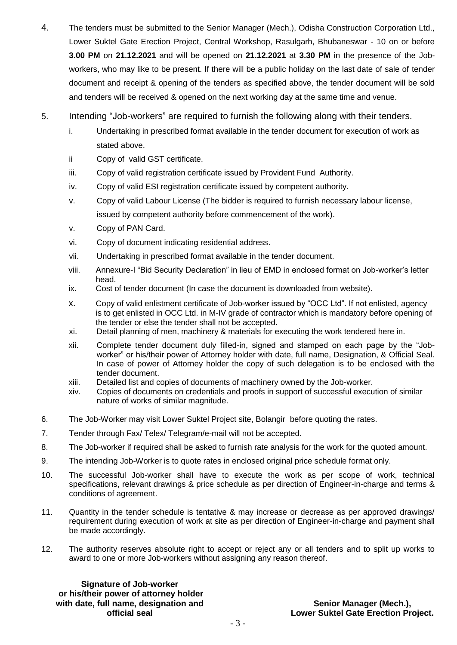- 4. The tenders must be submitted to the Senior Manager (Mech.), Odisha Construction Corporation Ltd., Lower Suktel Gate Erection Project, Central Workshop, Rasulgarh, Bhubaneswar - 10 on or before **3.00 PM** on **21.12.2021** and will be opened on **21.12.2021** at **3.30 PM** in the presence of the Jobworkers, who may like to be present. If there will be a public holiday on the last date of sale of tender document and receipt & opening of the tenders as specified above, the tender document will be sold and tenders will be received & opened on the next working day at the same time and venue.
- 5. Intending "Job-workers" are required to furnish the following along with their tenders.
	- i. Undertaking in prescribed format available in the tender document for execution of work as stated above.
	- ii Copy of valid GST certificate.
	- iii. Copy of valid registration certificate issued by Provident Fund Authority.
	- iv. Copy of valid ESI registration certificate issued by competent authority.
	- v. Copy of valid Labour License (The bidder is required to furnish necessary labour license, issued by competent authority before commencement of the work).
	- v. Copy of PAN Card.
	- vi. Copy of document indicating residential address.
	- vii. Undertaking in prescribed format available in the tender document.
	- viii. Annexure-I "Bid Security Declaration" in lieu of EMD in enclosed format on Job-worker's letter head.
	- ix. Cost of tender document (In case the document is downloaded from website).
	- x. Copy of valid enlistment certificate of Job-worker issued by "OCC Ltd". If not enlisted, agency is to get enlisted in OCC Ltd. in M-IV grade of contractor which is mandatory before opening of the tender or else the tender shall not be accepted.
	- xi. Detail planning of men, machinery & materials for executing the work tendered here in.
	- xii. Complete tender document duly filled-in, signed and stamped on each page by the "Jobworker" or his/their power of Attorney holder with date, full name, Designation, & Official Seal. In case of power of Attorney holder the copy of such delegation is to be enclosed with the tender document.
	- xiii. Detailed list and copies of documents of machinery owned by the Job-worker.
	- xiv. Copies of documents on credentials and proofs in support of successful execution of similar nature of works of similar magnitude.
- 6. The Job-Worker may visit Lower Suktel Project site, Bolangir before quoting the rates.
- 7. Tender through Fax/ Telex/ Telegram/e-mail will not be accepted.
- 8. The Job-worker if required shall be asked to furnish rate analysis for the work for the quoted amount.
- 9. The intending Job-Worker is to quote rates in enclosed original price schedule format only.
- 10. The successful Job-worker shall have to execute the work as per scope of work, technical specifications, relevant drawings & price schedule as per direction of Engineer-in-charge and terms & conditions of agreement.
- 11. Quantity in the tender schedule is tentative & may increase or decrease as per approved drawings/ requirement during execution of work at site as per direction of Engineer-in-charge and payment shall be made accordingly.
- 12. The authority reserves absolute right to accept or reject any or all tenders and to split up works to award to one or more Job-workers without assigning any reason thereof.

**Signature of Job-worker or his/their power of attorney holder with date, full name, designation and official seal**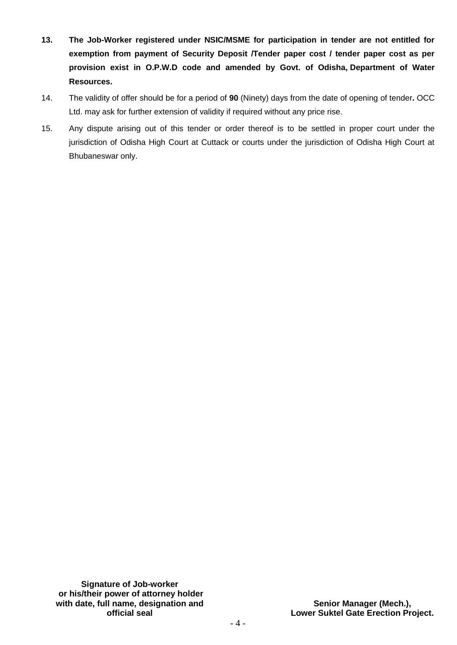- $13.$ **13. The Job-Worker registered under NSIC/MSME for participation in tender are not entitled for**  exemption from payment of Security Deposit /Tender paper cost / tender paper cost as per **provision exist in O.P.W.D code and amended by Govt. of Odisha, Department of Water Resources.**
- 14. The validity of offer should be for a period of **90** (Ninety) days from the date of opening of tender**.** OCC Ltd. may ask for further extension of validity if required without any price rise.
- 15. Any dispute arising out of this tender or order thereof is to be settled in proper court under the jurisdiction of Odisha High Court at Cuttack or courts under the jurisdiction of Odisha High Court at Bhubaneswar only.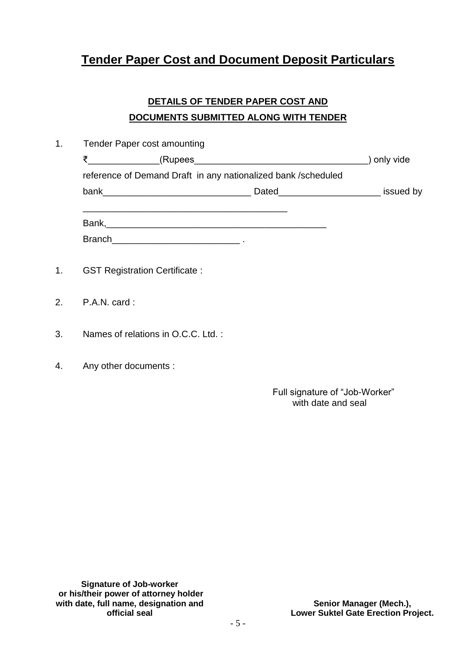## **Tender Paper Cost and Document Deposit Particulars**

## **DETAILS OF TENDER PAPER COST AND DOCUMENTS SUBMITTED ALONG WITH TENDER**

| 1.             | <b>Tender Paper cost amounting</b> |                                                            |                                                               |           |
|----------------|------------------------------------|------------------------------------------------------------|---------------------------------------------------------------|-----------|
|                |                                    |                                                            |                                                               | only vide |
|                |                                    |                                                            | reference of Demand Draft in any nationalized bank /scheduled |           |
|                |                                    |                                                            |                                                               | issued by |
|                |                                    | <u> 1989 - Johann Stoff, amerikansk politiker (* 1908)</u> |                                                               |           |
|                |                                    |                                                            |                                                               |           |
|                |                                    |                                                            |                                                               |           |
|                |                                    |                                                            |                                                               |           |
| 1 <sub>1</sub> |                                    | <b>GST Registration Certificate:</b>                       |                                                               |           |
|                |                                    |                                                            |                                                               |           |
| 2.             | P.A.N. card:                       |                                                            |                                                               |           |

- 3. Names of relations in O.C.C. Ltd. :
- 4. Any other documents :

 Full signature of "Job-Worker" with date and seal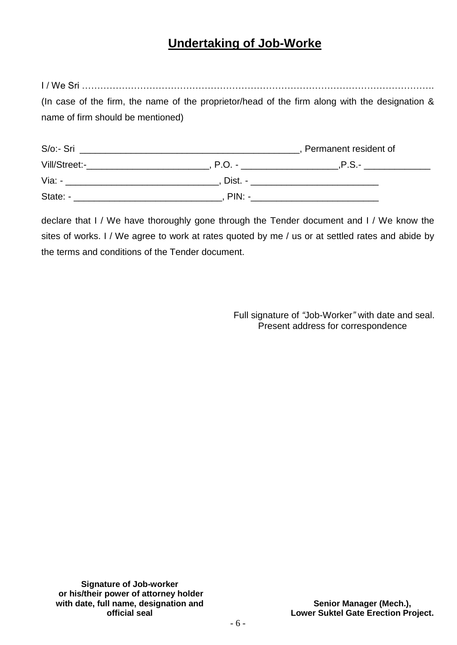## **Undertaking of Job-Worke**

I / We Sri ……………………………………………………………………………………………………. (In case of the firm, the name of the proprietor/head of the firm along with the designation & name of firm should be mentioned)

| S/o:- Sri     |          | Permanent resident of |
|---------------|----------|-----------------------|
| Vill/Street:- | P.O.     | $.P.S.-$              |
| $Via: -$      | Dist. -  |                       |
| State: -      | $PIN: -$ |                       |

declare that I / We have thoroughly gone through the Tender document and I / We know the sites of works. I / We agree to work at rates quoted by me / us or at settled rates and abide by the terms and conditions of the Tender document.

> Full signature of *"*Job-Worker*"* with date and seal. Present address for correspondence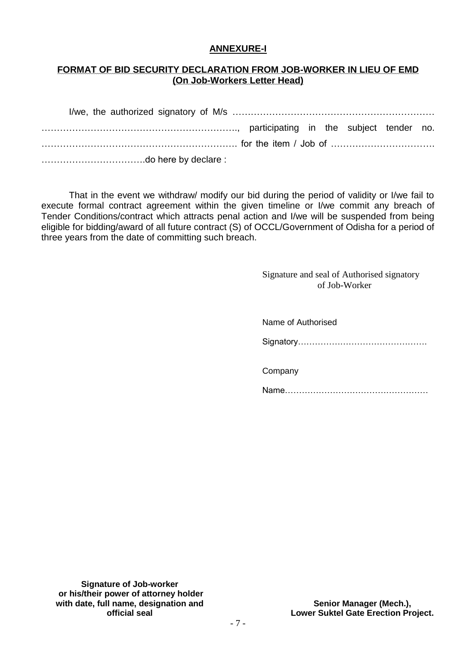## **ANNEXURE-I**

## **FORMAT OF BID SECURITY DECLARATION FROM JOB-WORKER IN LIEU OF EMD (On Job-Workers Letter Head)**

That in the event we withdraw/ modify our bid during the period of validity or I/we fail to execute formal contract agreement within the given timeline or I/we commit any breach of Tender Conditions/contract which attracts penal action and I/we will be suspended from being eligible for bidding/award of all future contract (S) of OCCL/Government of Odisha for a period of three years from the date of committing such breach.

> Signature and seal of Authorised signatory of Job-Worker

| Name of Authorised |
|--------------------|
|                    |
| Company            |
|                    |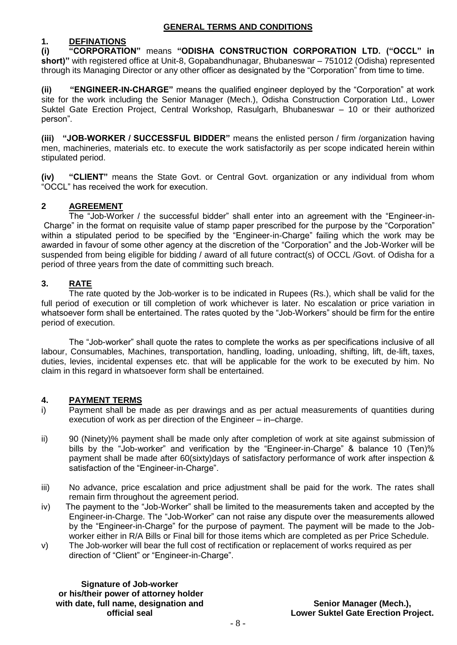### **GENERAL TERMS AND CONDITIONS**

## **1. DEFINATIONS**

**(i) "CORPORATION"** means **"ODISHA CONSTRUCTION CORPORATION LTD. ("OCCL" in short)"** with registered office at Unit-8, Gopabandhunagar, Bhubaneswar – 751012 (Odisha) represented through its Managing Director or any other officer as designated by the "Corporation" from time to time.

**(ii) "ENGINEER-IN-CHARGE"** means the qualified engineer deployed by the "Corporation" at work site for the work including the Senior Manager (Mech.), Odisha Construction Corporation Ltd., Lower Suktel Gate Erection Project, Central Workshop, Rasulgarh, Bhubaneswar – 10 or their authorized person".

**(iii) "JOB-WORKER / SUCCESSFUL BIDDER"** means the enlisted person / firm /organization having men, machineries, materials etc. to execute the work satisfactorily as per scope indicated herein within stipulated period.

**(iv) "CLIENT"** means the State Govt. or Central Govt. organization or any individual from whom "OCCL" has received the work for execution.

## **2 AGREEMENT**

 The "Job-Worker / the successful bidder" shall enter into an agreement with the "Engineer-in-Charge" in the format on requisite value of stamp paper prescribed for the purpose by the "Corporation" within a stipulated period to be specified by the "Engineer-in-Charge" failing which the work may be awarded in favour of some other agency at the discretion of the "Corporation" and the Job-Worker will be suspended from being eligible for bidding / award of all future contract(s) of OCCL /Govt. of Odisha for a period of three years from the date of committing such breach.

## **3. RATE**

The rate quoted by the Job-worker is to be indicated in Rupees (Rs.), which shall be valid for the full period of execution or till completion of work whichever is later. No escalation or price variation in whatsoever form shall be entertained. The rates quoted by the "Job-Workers" should be firm for the entire period of execution.

The "Job-worker" shall quote the rates to complete the works as per specifications inclusive of all labour, Consumables, Machines, transportation, handling, loading, unloading, shifting, lift, de-lift, taxes, duties, levies, incidental expenses etc. that will be applicable for the work to be executed by him. No claim in this regard in whatsoever form shall be entertained.

## **4. PAYMENT TERMS**

- i) Payment shall be made as per drawings and as per actual measurements of quantities during execution of work as per direction of the Engineer – in–charge.
- ii) 90 (Ninety)% payment shall be made only after completion of work at site against submission of bills by the "Job-worker" and verification by the "Engineer-in-Charge" & balance 10 (Ten)% payment shall be made after 60(sixty)days of satisfactory performance of work after inspection & satisfaction of the "Engineer-in-Charge".
- iii) No advance, price escalation and price adjustment shall be paid for the work. The rates shall remain firm throughout the agreement period.
- iv) The payment to the "Job-Worker" shall be limited to the measurements taken and accepted by the Engineer-in-Charge. The "Job-Worker" can not raise any dispute over the measurements allowed by the "Engineer-in-Charge" for the purpose of payment. The payment will be made to the Jobworker either in R/A Bills or Final bill for those items which are completed as per Price Schedule.
- v) The Job-worker will bear the full cost of rectification or replacement of works required as per direction of "Client" or "Engineer-in-Charge".

**Signature of Job-worker or his/their power of attorney holder with date, full name, designation and official seal**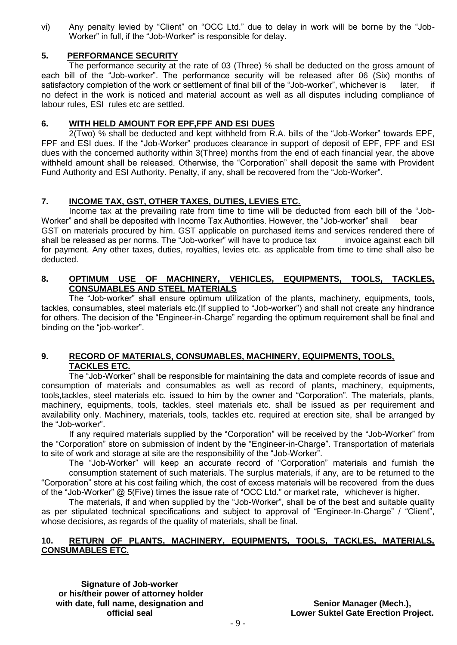vi) Any penalty levied by "Client" on "OCC Ltd." due to delay in work will be borne by the "Job-Worker" in full, if the "Job-Worker" is responsible for delay.

## **5. PERFORMANCE SECURITY**

The performance security at the rate of 03 (Three) % shall be deducted on the gross amount of each bill of the "Job-worker". The performance security will be released after 06 (Six) months of satisfactory completion of the work or settlement of final bill of the "Job-worker", whichever is later, if no defect in the work is noticed and material account as well as all disputes including compliance of labour rules, ESI rules etc are settled.

## **6. WITH HELD AMOUNT FOR EPF,FPF AND ESI DUES**

2(Two) % shall be deducted and kept withheld from R.A. bills of the "Job-Worker" towards EPF, FPF and ESI dues. If the "Job-Worker" produces clearance in support of deposit of EPF, FPF and ESI dues with the concerned authority within 3(Three) months from the end of each financial year, the above withheld amount shall be released. Otherwise, the "Corporation" shall deposit the same with Provident Fund Authority and ESI Authority. Penalty, if any, shall be recovered from the "Job-Worker".

## **7. INCOME TAX, GST, OTHER TAXES, DUTIES, LEVIES ETC.**

Income tax at the prevailing rate from time to time will be deducted from each bill of the "Job-Worker" and shall be deposited with Income Tax Authorities. However, the "Job-worker" shall bear GST on materials procured by him. GST applicable on purchased items and services rendered there of shall be released as per norms. The "Job-worker" will have to produce tax invoice against each bill for payment. Any other taxes, duties, royalties, levies etc. as applicable from time to time shall also be deducted.

## **8. OPTIMUM USE OF MACHINERY, VEHICLES, EQUIPMENTS, TOOLS, TACKLES, CONSUMABLES AND STEEL MATERIALS**

The "Job-worker" shall ensure optimum utilization of the plants, machinery, equipments, tools, tackles, consumables, steel materials etc.(If supplied to "Job-worker") and shall not create any hindrance for others. The decision of the "Engineer-in-Charge" regarding the optimum requirement shall be final and binding on the "job-worker".

### **9. RECORD OF MATERIALS, CONSUMABLES, MACHINERY, EQUIPMENTS, TOOLS, TACKLES ETC.**

The "Job-Worker" shall be responsible for maintaining the data and complete records of issue and consumption of materials and consumables as well as record of plants, machinery, equipments, tools,tackles, steel materials etc. issued to him by the owner and "Corporation". The materials, plants, machinery, equipments, tools, tackles, steel materials etc. shall be issued as per requirement and availability only. Machinery, materials, tools, tackles etc. required at erection site, shall be arranged by the "Job-worker".

If any required materials supplied by the "Corporation" will be received by the "Job-Worker" from the "Corporation" store on submission of indent by the "Engineer-in-Charge". Transportation of materials to site of work and storage at site are the responsibility of the "Job-Worker".

The "Job-Worker" will keep an accurate record of "Corporation" materials and furnish the consumption statement of such materials. The surplus materials, if any, are to be returned to the "Corporation" store at his cost failing which, the cost of excess materials will be recovered from the dues of the "Job-Worker" @ 5(Five) times the issue rate of "OCC Ltd." or market rate, whichever is higher.

The materials, if and when supplied by the "Job-Worker", shall be of the best and suitable quality as per stipulated technical specifications and subject to approval of "Engineer-In-Charge" / "Client", whose decisions, as regards of the quality of materials, shall be final.

## **10. RETURN OF PLANTS, MACHINERY, EQUIPMENTS, TOOLS, TACKLES, MATERIALS, CONSUMABLES ETC.**

**Signature of Job-worker or his/their power of attorney holder with date, full name, designation and official seal**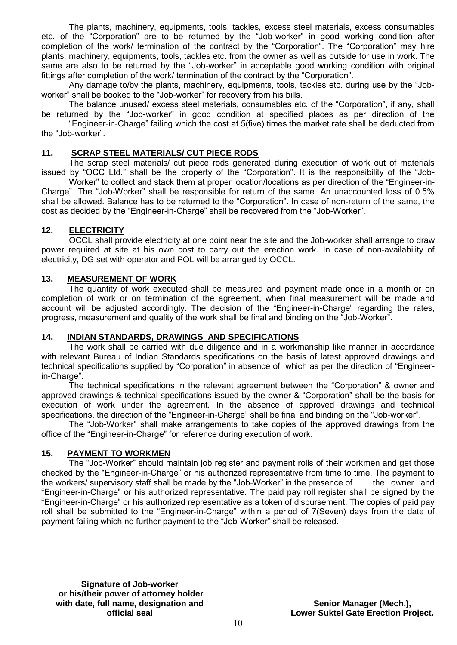The plants, machinery, equipments, tools, tackles, excess steel materials, excess consumables etc. of the "Corporation" are to be returned by the "Job-worker" in good working condition after completion of the work/ termination of the contract by the "Corporation". The "Corporation" may hire plants, machinery, equipments, tools, tackles etc. from the owner as well as outside for use in work. The same are also to be returned by the "Job-worker" in acceptable good working condition with original fittings after completion of the work/ termination of the contract by the "Corporation".

Any damage to/by the plants, machinery, equipments, tools, tackles etc. during use by the "Jobworker" shall be booked to the "Job-worker" for recovery from his bills.

The balance unused/ excess steel materials, consumables etc. of the "Corporation", if any, shall be returned by the "Job-worker" in good condition at specified places as per direction of the

"Engineer-in-Charge" failing which the cost at 5(five) times the market rate shall be deducted from the "Job-worker".

#### **11. SCRAP STEEL MATERIALS/ CUT PIECE RODS**

The scrap steel materials/ cut piece rods generated during execution of work out of materials issued by "OCC Ltd." shall be the property of the "Corporation". It is the responsibility of the "Job-

Worker" to collect and stack them at proper location/locations as per direction of the "Engineer-in-Charge". The "Job-Worker" shall be responsible for return of the same. An unaccounted loss of 0.5% shall be allowed. Balance has to be returned to the "Corporation". In case of non-return of the same, the cost as decided by the "Engineer-in-Charge" shall be recovered from the "Job-Worker".

### **12. ELECTRICITY**

OCCL shall provide electricity at one point near the site and the Job-worker shall arrange to draw power required at site at his own cost to carry out the erection work. In case of non-availability of electricity, DG set with operator and POL will be arranged by OCCL.

#### **13. MEASUREMENT OF WORK**

The quantity of work executed shall be measured and payment made once in a month or on completion of work or on termination of the agreement, when final measurement will be made and account will be adjusted accordingly. The decision of the "Engineer-in-Charge" regarding the rates, progress, measurement and quality of the work shall be final and binding on the "Job-Worker".

### **14. INDIAN STANDARDS, DRAWINGS AND SPECIFICATIONS**

The work shall be carried with due diligence and in a workmanship like manner in accordance with relevant Bureau of Indian Standards specifications on the basis of latest approved drawings and technical specifications supplied by "Corporation" in absence of which as per the direction of "Engineerin-Charge".

The technical specifications in the relevant agreement between the "Corporation" & owner and approved drawings & technical specifications issued by the owner & "Corporation" shall be the basis for execution of work under the agreement. In the absence of approved drawings and technical specifications, the direction of the "Engineer-in-Charge" shall be final and binding on the "Job-worker".

The "Job-Worker" shall make arrangements to take copies of the approved drawings from the office of the "Engineer-in-Charge" for reference during execution of work.

#### **15. PAYMENT TO WORKMEN**

The "Job-Worker" should maintain job register and payment rolls of their workmen and get those checked by the "Engineer-in-Charge" or his authorized representative from time to time. The payment to the workers/ supervisory staff shall be made by the "Job-Worker" in the presence of the owner and "Engineer-in-Charge" or his authorized representative. The paid pay roll register shall be signed by the "Engineer-in-Charge" or his authorized representative as a token of disbursement. The copies of paid pay roll shall be submitted to the "Engineer-in-Charge" within a period of 7(Seven) days from the date of payment failing which no further payment to the "Job-Worker" shall be released.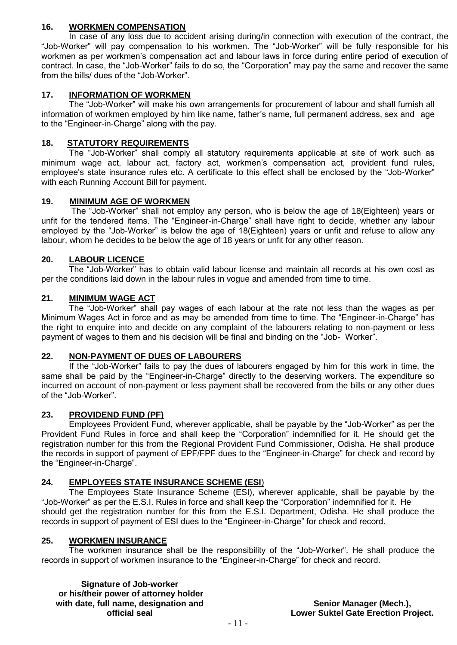## **16. WORKMEN COMPENSATION**

In case of any loss due to accident arising during/in connection with execution of the contract, the "Job-Worker" will pay compensation to his workmen. The "Job-Worker" will be fully responsible for his workmen as per workmen's compensation act and labour laws in force during entire period of execution of contract. In case, the "Job-Worker" fails to do so, the "Corporation" may pay the same and recover the same from the bills/ dues of the "Job-Worker".

## **17. INFORMATION OF WORKMEN**

The "Job-Worker" will make his own arrangements for procurement of labour and shall furnish all information of workmen employed by him like name, father's name, full permanent address, sex and age to the "Engineer-in-Charge" along with the pay.

## **18. STATUTORY REQUIREMENTS**

The "Job-Worker" shall comply all statutory requirements applicable at site of work such as minimum wage act, labour act, factory act, workmen's compensation act, provident fund rules, employee's state insurance rules etc. A certificate to this effect shall be enclosed by the "Job-Worker" with each Running Account Bill for payment.

## **19. MINIMUM AGE OF WORKMEN**

The "Job-Worker" shall not employ any person, who is below the age of 18(Eighteen) years or unfit for the tendered items. The "Engineer-in-Charge" shall have right to decide, whether any labour employed by the "Job-Worker" is below the age of 18(Eighteen) years or unfit and refuse to allow any labour, whom he decides to be below the age of 18 years or unfit for any other reason.

## **20. LABOUR LICENCE**

The "Job-Worker" has to obtain valid labour license and maintain all records at his own cost as per the conditions laid down in the labour rules in vogue and amended from time to time.

## **21. MINIMUM WAGE ACT**

The "Job-Worker" shall pay wages of each labour at the rate not less than the wages as per Minimum Wages Act in force and as may be amended from time to time. The "Engineer-in-Charge" has the right to enquire into and decide on any complaint of the labourers relating to non-payment or less payment of wages to them and his decision will be final and binding on the "Job- Worker".

### **22. NON-PAYMENT OF DUES OF LABOURERS**

If the "Job-Worker" fails to pay the dues of labourers engaged by him for this work in time, the same shall be paid by the "Engineer-in-Charge" directly to the deserving workers. The expenditure so incurred on account of non-payment or less payment shall be recovered from the bills or any other dues of the "Job-Worker".

### **23. PROVIDEND FUND (PF)**

Employees Provident Fund, wherever applicable, shall be payable by the "Job-Worker" as per the Provident Fund Rules in force and shall keep the "Corporation" indemnified for it. He should get the registration number for this from the Regional Provident Fund Commissioner, Odisha. He shall produce the records in support of payment of EPF/FPF dues to the "Engineer-in-Charge" for check and record by the "Engineer-in-Charge".

### **24. EMPLOYEES STATE INSURANCE SCHEME (ESI**)

The Employees State Insurance Scheme (ESI), wherever applicable, shall be payable by the "Job-Worker" as per the E.S.I. Rules in force and shall keep the "Corporation" indemnified for it. He should get the registration number for this from the E.S.I. Department, Odisha. He shall produce the records in support of payment of ESI dues to the "Engineer-in-Charge" for check and record.

### **25. WORKMEN INSURANCE**

The workmen insurance shall be the responsibility of the "Job-Worker". He shall produce the records in support of workmen insurance to the "Engineer-in-Charge" for check and record.

**Signature of Job-worker or his/their power of attorney holder with date, full name, designation and official seal**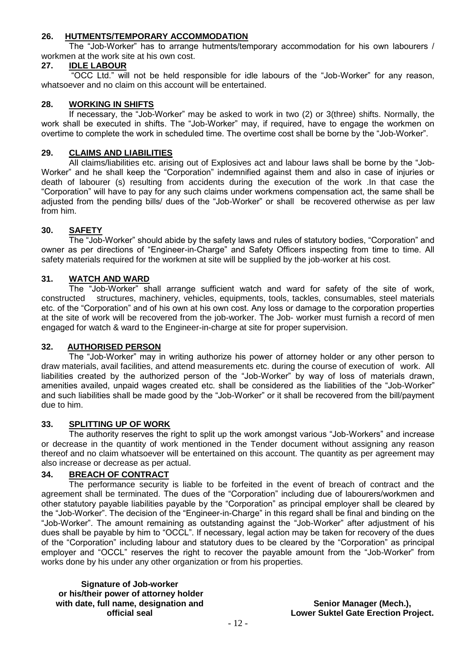## **26. HUTMENTS/TEMPORARY ACCOMMODATION**

The "Job-Worker" has to arrange hutments/temporary accommodation for his own labourers / workmen at the work site at his own cost.

### **27. IDLE LABOUR**

"OCC Ltd." will not be held responsible for idle labours of the "Job-Worker" for any reason, whatsoever and no claim on this account will be entertained.

### **28. WORKING IN SHIFTS**

If necessary, the "Job-Worker" may be asked to work in two (2) or 3(three) shifts. Normally, the work shall be executed in shifts. The "Job-Worker" may, if required, have to engage the workmen on overtime to complete the work in scheduled time. The overtime cost shall be borne by the "Job-Worker".

#### **29. CLAIMS AND LIABILITIES**

All claims/liabilities etc. arising out of Explosives act and labour laws shall be borne by the "Job-Worker" and he shall keep the "Corporation" indemnified against them and also in case of injuries or death of labourer (s) resulting from accidents during the execution of the work .In that case the "Corporation" will have to pay for any such claims under workmens compensation act, the same shall be adjusted from the pending bills/ dues of the "Job-Worker" or shall be recovered otherwise as per law from him.

### **30. SAFETY**

The "Job-Worker" should abide by the safety laws and rules of statutory bodies, "Corporation" and owner as per directions of "Engineer-in-Charge" and Safety Officers inspecting from time to time. All safety materials required for the workmen at site will be supplied by the job-worker at his cost.

#### **31. WATCH AND WARD**

The "Job-Worker" shall arrange sufficient watch and ward for safety of the site of work, constructed structures, machinery, vehicles, equipments, tools, tackles, consumables, steel materials etc. of the "Corporation" and of his own at his own cost. Any loss or damage to the corporation properties at the site of work will be recovered from the job-worker. The Job- worker must furnish a record of men engaged for watch & ward to the Engineer-in-charge at site for proper supervision.

#### **32. AUTHORISED PERSON**

The "Job-Worker" may in writing authorize his power of attorney holder or any other person to draw materials, avail facilities, and attend measurements etc. during the course of execution of work. All liabilities created by the authorized person of the "Job-Worker" by way of loss of materials drawn, amenities availed, unpaid wages created etc. shall be considered as the liabilities of the "Job-Worker" and such liabilities shall be made good by the "Job-Worker" or it shall be recovered from the bill/payment due to him.

#### **33. SPLITTING UP OF WORK**

The authority reserves the right to split up the work amongst various "Job-Workers" and increase or decrease in the quantity of work mentioned in the Tender document without assigning any reason thereof and no claim whatsoever will be entertained on this account. The quantity as per agreement may also increase or decrease as per actual.

#### **34. BREACH OF CONTRACT**

The performance security is liable to be forfeited in the event of breach of contract and the agreement shall be terminated. The dues of the "Corporation" including due of labourers/workmen and other statutory payable liabilities payable by the "Corporation" as principal employer shall be cleared by the "Job-Worker". The decision of the "Engineer-in-Charge" in this regard shall be final and binding on the "Job-Worker". The amount remaining as outstanding against the "Job-Worker" after adjustment of his dues shall be payable by him to "OCCL". If necessary, legal action may be taken for recovery of the dues of the "Corporation" including labour and statutory dues to be cleared by the "Corporation" as principal employer and "OCCL" reserves the right to recover the payable amount from the "Job-Worker" from works done by his under any other organization or from his properties.

**Signature of Job-worker or his/their power of attorney holder with date, full name, designation and official seal**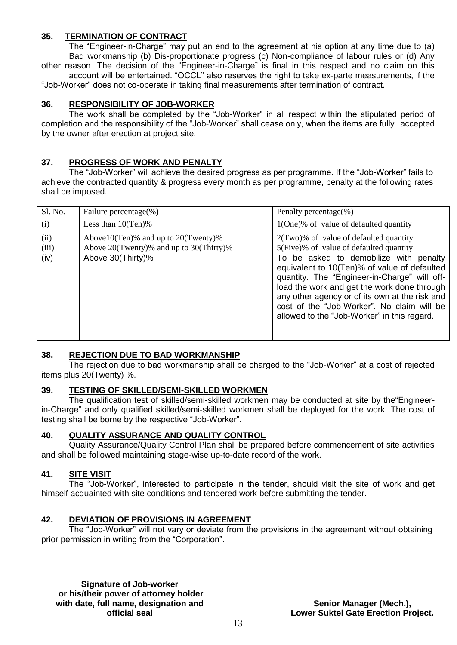## **35. TERMINATION OF CONTRACT**

The "Engineer-in-Charge" may put an end to the agreement at his option at any time due to (a) Bad workmanship (b) Dis-proportionate progress (c) Non-compliance of labour rules or (d) Any other reason. The decision of the "Engineer-in-Charge" is final in this respect and no claim on this account will be entertained. "OCCL" also reserves the right to take ex-parte measurements, if the "Job-Worker" does not co-operate in taking final measurements after termination of contract.

## **36. RESPONSIBILITY OF JOB-WORKER**

The work shall be completed by the "Job-Worker" in all respect within the stipulated period of completion and the responsibility of the "Job-Worker" shall cease only, when the items are fully accepted by the owner after erection at project site.

### **37. PROGRESS OF WORK AND PENALTY**

The "Job-Worker" will achieve the desired progress as per programme. If the "Job-Worker" fails to achieve the contracted quantity & progress every month as per programme, penalty at the following rates shall be imposed.

| Sl. No. | Failure percentage(%)                         | Penalty percentage(%)                                                                                                                                                                                                                                                                                                                |
|---------|-----------------------------------------------|--------------------------------------------------------------------------------------------------------------------------------------------------------------------------------------------------------------------------------------------------------------------------------------------------------------------------------------|
| (i)     | Less than $10(Ten)\%$                         | 1(One)% of value of defaulted quantity                                                                                                                                                                                                                                                                                               |
| (ii)    | Above $10$ (Ten)% and up to $20$ (Twenty)%    | $2$ (Two)% of value of defaulted quantity                                                                                                                                                                                                                                                                                            |
| (iii)   | Above $20$ (Twenty)% and up to $30$ (Thirty)% | 5(Five)% of value of defaulted quantity                                                                                                                                                                                                                                                                                              |
| (iv)    | Above 30(Thirty)%                             | To be asked to demobilize with penalty<br>equivalent to 10(Ten)% of value of defaulted<br>quantity. The "Engineer-in-Charge" will off-<br>load the work and get the work done through<br>any other agency or of its own at the risk and<br>cost of the "Job-Worker". No claim will be<br>allowed to the "Job-Worker" in this regard. |

### **38. REJECTION DUE TO BAD WORKMANSHIP**

The rejection due to bad workmanship shall be charged to the "Job-Worker" at a cost of rejected items plus 20(Twenty) %.

### **39. TESTING OF SKILLED/SEMI-SKILLED WORKMEN**

The qualification test of skilled/semi-skilled workmen may be conducted at site by the"Engineerin-Charge" and only qualified skilled/semi-skilled workmen shall be deployed for the work. The cost of testing shall be borne by the respective "Job-Worker".

### **40. QUALITY ASSURANCE AND QUALITY CONTROL**

Quality Assurance/Quality Control Plan shall be prepared before commencement of site activities and shall be followed maintaining stage-wise up-to-date record of the work.

### **41. SITE VISIT**

The "Job-Worker", interested to participate in the tender, should visit the site of work and get himself acquainted with site conditions and tendered work before submitting the tender.

### **42. DEVIATION OF PROVISIONS IN AGREEMENT**

The "Job-Worker" will not vary or deviate from the provisions in the agreement without obtaining prior permission in writing from the "Corporation".

**Signature of Job-worker or his/their power of attorney holder with date, full name, designation and official seal**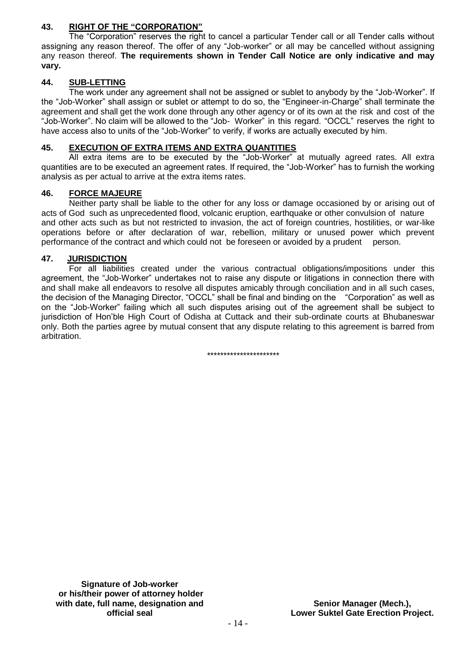## **43. RIGHT OF THE "CORPORATION"**

The "Corporation" reserves the right to cancel a particular Tender call or all Tender calls without assigning any reason thereof. The offer of any "Job-worker" or all may be cancelled without assigning any reason thereof. **The requirements shown in Tender Call Notice are only indicative and may vary.** 

## **44. SUB-LETTING**

The work under any agreement shall not be assigned or sublet to anybody by the "Job-Worker". If the "Job-Worker" shall assign or sublet or attempt to do so, the "Engineer-in-Charge" shall terminate the agreement and shall get the work done through any other agency or of its own at the risk and cost of the "Job-Worker". No claim will be allowed to the "Job- Worker" in this regard. "OCCL" reserves the right to have access also to units of the "Job-Worker" to verify, if works are actually executed by him.

## **45. EXECUTION OF EXTRA ITEMS AND EXTRA QUANTITIES**

All extra items are to be executed by the "Job-Worker" at mutually agreed rates. All extra quantities are to be executed an agreement rates. If required, the "Job-Worker" has to furnish the working analysis as per actual to arrive at the extra items rates.

### **46. FORCE MAJEURE**

Neither party shall be liable to the other for any loss or damage occasioned by or arising out of acts of God such as unprecedented flood, volcanic eruption, earthquake or other convulsion of nature and other acts such as but not restricted to invasion, the act of foreign countries, hostilities, or war-like operations before or after declaration of war, rebellion, military or unused power which prevent performance of the contract and which could not be foreseen or avoided by a prudent person.

## **47. JURISDICTION**

For all liabilities created under the various contractual obligations/impositions under this agreement, the "Job-Worker" undertakes not to raise any dispute or litigations in connection there with and shall make all endeavors to resolve all disputes amicably through conciliation and in all such cases, the decision of the Managing Director, "OCCL" shall be final and binding on the "Corporation" as well as on the "Job-Worker" failing which all such disputes arising out of the agreement shall be subject to jurisdiction of Hon'ble High Court of Odisha at Cuttack and their sub-ordinate courts at Bhubaneswar only. Both the parties agree by mutual consent that any dispute relating to this agreement is barred from arbitration.

\*\*\*\*\*\*\*\*\*\*\*\*\*\*\*\*\*\*\*\*\*\*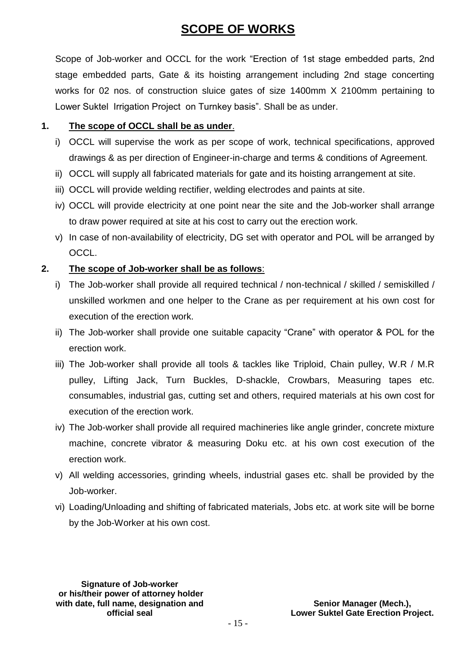## **SCOPE OF WORKS**

Scope of Job-worker and OCCL for the work "Erection of 1st stage embedded parts, 2nd stage embedded parts, Gate & its hoisting arrangement including 2nd stage concerting works for 02 nos. of construction sluice gates of size 1400mm X 2100mm pertaining to Lower Suktel Irrigation Project on Turnkey basis". Shall be as under.

## **1. The scope of OCCL shall be as under**.

- i) OCCL will supervise the work as per scope of work, technical specifications, approved drawings & as per direction of Engineer-in-charge and terms & conditions of Agreement.
- ii) OCCL will supply all fabricated materials for gate and its hoisting arrangement at site.
- iii) OCCL will provide welding rectifier, welding electrodes and paints at site.
- iv) OCCL will provide electricity at one point near the site and the Job-worker shall arrange to draw power required at site at his cost to carry out the erection work.
- v) In case of non-availability of electricity, DG set with operator and POL will be arranged by OCCL.

## **2. The scope of Job-worker shall be as follows**:

- i) The Job-worker shall provide all required technical / non-technical / skilled / semiskilled / unskilled workmen and one helper to the Crane as per requirement at his own cost for execution of the erection work.
- ii) The Job-worker shall provide one suitable capacity "Crane" with operator & POL for the erection work.
- iii) The Job-worker shall provide all tools & tackles like Triploid, Chain pulley, W.R / M.R pulley, Lifting Jack, Turn Buckles, D-shackle, Crowbars, Measuring tapes etc. consumables, industrial gas, cutting set and others, required materials at his own cost for execution of the erection work.
- iv) The Job-worker shall provide all required machineries like angle grinder, concrete mixture machine, concrete vibrator & measuring Doku etc. at his own cost execution of the erection work.
- v) All welding accessories, grinding wheels, industrial gases etc. shall be provided by the Job-worker.
- vi) Loading/Unloading and shifting of fabricated materials, Jobs etc. at work site will be borne by the Job-Worker at his own cost.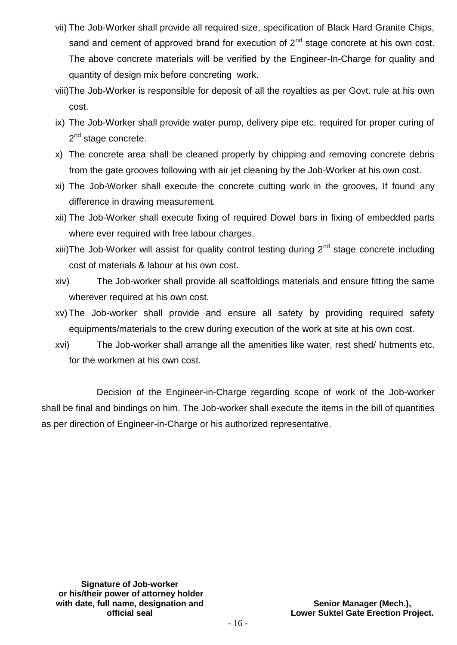- vii) The Job-Worker shall provide all required size, specification of Black Hard Granite Chips, sand and cement of approved brand for execution of  $2<sup>nd</sup>$  stage concrete at his own cost. The above concrete materials will be verified by the Engineer-In-Charge for quality and quantity of design mix before concreting work.
- viii)The Job-Worker is responsible for deposit of all the royalties as per Govt. rule at his own cost.
- ix) The Job-Worker shall provide water pump, delivery pipe etc. required for proper curing of 2<sup>nd</sup> stage concrete.
- x) The concrete area shall be cleaned properly by chipping and removing concrete debris from the gate grooves following with air jet cleaning by the Job-Worker at his own cost.
- xi) The Job-Worker shall execute the concrete cutting work in the grooves, If found any difference in drawing measurement.
- xii) The Job-Worker shall execute fixing of required Dowel bars in fixing of embedded parts where ever required with free labour charges.
- xiii)The Job-Worker will assist for quality control testing during  $2<sup>nd</sup>$  stage concrete including cost of materials & labour at his own cost.
- xiv) The Job-worker shall provide all scaffoldings materials and ensure fitting the same wherever required at his own cost.
- xv) The Job-worker shall provide and ensure all safety by providing required safety equipments/materials to the crew during execution of the work at site at his own cost.
- xvi) The Job-worker shall arrange all the amenities like water, rest shed/ hutments etc. for the workmen at his own cost.

Decision of the Engineer-in-Charge regarding scope of work of the Job-worker shall be final and bindings on him. The Job-worker shall execute the items in the bill of quantities as per direction of Engineer-in-Charge or his authorized representative.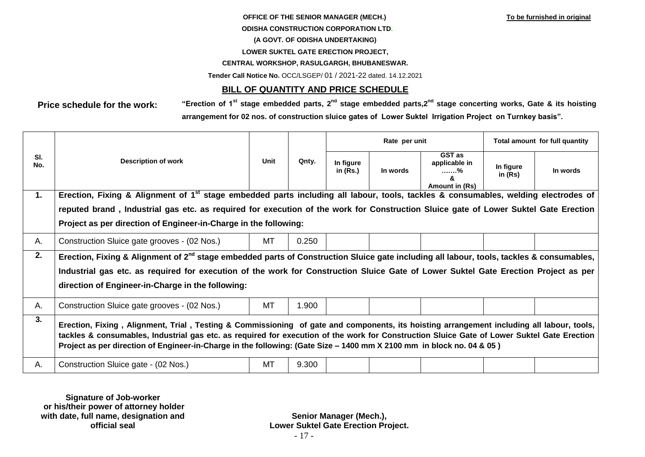#### **OFFICE OF THE SENIOR MANAGER (MECH.)** To be furnished in original

#### **ODISHA CONSTRUCTION CORPORATION LTD.**

#### **(A GOVT. OF ODISHA UNDERTAKING)**

#### **LOWER SUKTEL GATE ERECTION PROJECT,**

#### **CENTRAL WORKSHOP, RASULGARGH, BHUBANESWAR.**

**Tender Call Notice No.** OCC/LSGEP/ 01 / 2021-22 dated. 14.12.2021

## **BILL OF QUANTITY AND PRICE SCHEDULE**

**Price schedule for the work: "Erection of 1st stage embedded parts, 2nd stage embedded parts,2 nd stage concerting works, Gate & its hoisting arrangement for 02 nos. of construction sluice gates of Lower Suktel Irrigation Project on Turnkey basis".**

|                |                                                                                                                                                                                                                                                                                                                                                                                                                   |           |       |                         | Rate per unit | Total amount for full quantity                          |                        |          |
|----------------|-------------------------------------------------------------------------------------------------------------------------------------------------------------------------------------------------------------------------------------------------------------------------------------------------------------------------------------------------------------------------------------------------------------------|-----------|-------|-------------------------|---------------|---------------------------------------------------------|------------------------|----------|
| SI.<br>No.     | <b>Description of work</b>                                                                                                                                                                                                                                                                                                                                                                                        | Unit      | Qnty. | In figure<br>in $(Rs.)$ | In words      | <b>GST</b> as<br>applicable in<br>. %<br>Amount in (Rs) | In figure<br>in $(Rs)$ | In words |
| $\mathbf{1}$ . | Erection, Fixing & Alignment of 1 <sup>st</sup> stage embedded parts including all labour, tools, tackles & consumables, welding electrodes of                                                                                                                                                                                                                                                                    |           |       |                         |               |                                                         |                        |          |
|                | reputed brand, Industrial gas etc. as required for execution of the work for Construction Sluice gate of Lower Suktel Gate Erection                                                                                                                                                                                                                                                                               |           |       |                         |               |                                                         |                        |          |
|                | Project as per direction of Engineer-in-Charge in the following:                                                                                                                                                                                                                                                                                                                                                  |           |       |                         |               |                                                         |                        |          |
| Α.             | Construction Sluice gate grooves - (02 Nos.)                                                                                                                                                                                                                                                                                                                                                                      | MT        | 0.250 |                         |               |                                                         |                        |          |
| 2.             | Erection, Fixing & Alignment of 2 <sup>nd</sup> stage embedded parts of Construction Sluice gate including all labour, tools, tackles & consumables,                                                                                                                                                                                                                                                              |           |       |                         |               |                                                         |                        |          |
|                | Industrial gas etc. as required for execution of the work for Construction Sluice Gate of Lower Suktel Gate Erection Project as per                                                                                                                                                                                                                                                                               |           |       |                         |               |                                                         |                        |          |
|                | direction of Engineer-in-Charge in the following:                                                                                                                                                                                                                                                                                                                                                                 |           |       |                         |               |                                                         |                        |          |
| Α.             | Construction Sluice gate grooves - (02 Nos.)                                                                                                                                                                                                                                                                                                                                                                      | <b>MT</b> | 1.900 |                         |               |                                                         |                        |          |
| 3.             | Erection, Fixing, Alignment, Trial, Testing & Commissioning of gate and components, its hoisting arrangement including all labour, tools,<br>tackles & consumables, Industrial gas etc. as required for execution of the work for Construction Sluice Gate of Lower Suktel Gate Erection<br>Project as per direction of Engineer-in-Charge in the following: (Gate Size – 1400 mm X 2100 mm in block no. 04 & 05) |           |       |                         |               |                                                         |                        |          |
| Α.             | Construction Sluice gate - (02 Nos.)                                                                                                                                                                                                                                                                                                                                                                              | MT        | 9.300 |                         |               |                                                         |                        |          |